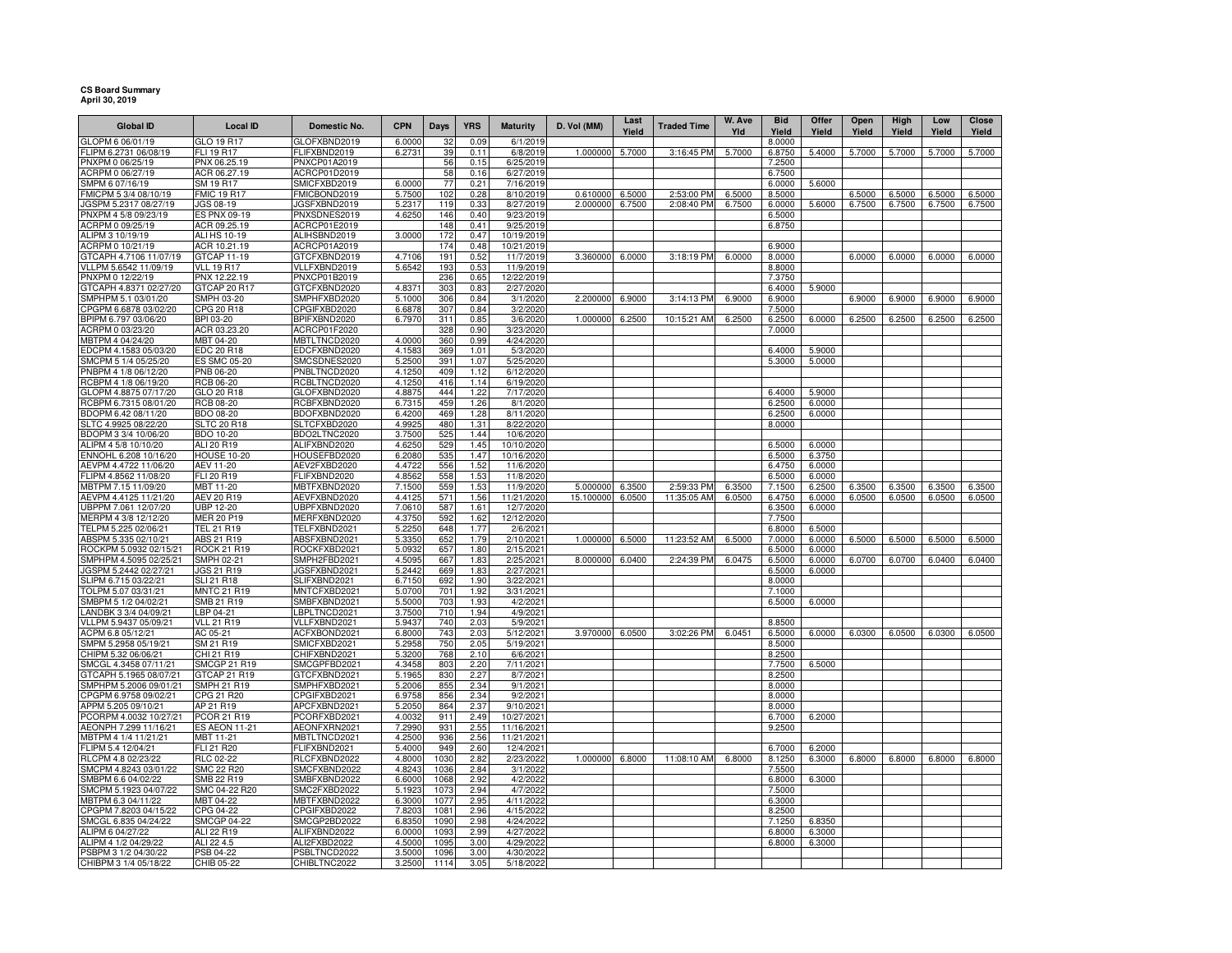## **CS Board Summary April 30, 2019**

| <b>Global ID</b>                              | <b>Local ID</b>                     | Domestic No.                 | <b>CPN</b>       | <b>Days</b>  | <b>YRS</b>   | <b>Maturity</b>         | D. Vol (MM) | Last<br>Yield | <b>Traded Time</b> | W. Ave<br>Yld | <b>Bid</b><br>Yield | Offer<br>Yield   | Open<br>Yield | High<br>Yield | Low<br>Yield | Close<br>Yield |
|-----------------------------------------------|-------------------------------------|------------------------------|------------------|--------------|--------------|-------------------------|-------------|---------------|--------------------|---------------|---------------------|------------------|---------------|---------------|--------------|----------------|
| GLOPM 6 06/01/19                              | GLO 19 R17                          | GLOFXBND2019                 | 6.0000           | 32           | 0.09         | 6/1/2019                |             |               |                    |               | 8.0000              |                  |               |               |              |                |
| FLIPM 6.2731 06/08/19                         | FLI 19 R17                          | FLIFXBND2019                 | 6.2731           | 39           | 0.11         | 6/8/2019                | 1.000000    | 5.7000        | 3:16:45 PM         | 5.7000        | 6.8750              | 5.4000           | 5.7000        | 5.7000        | 5.7000       | 5.7000         |
| PNXPM 0 06/25/19                              | PNX 06.25.19                        | PNXCP01A2019                 |                  | 56           | 0.15         | 6/25/2019               |             |               |                    |               | 7.2500              |                  |               |               |              |                |
| ACRPM 0 06/27/19                              | ACR 06.27.19                        | ACRCP01D2019                 |                  | 58           | 0.16         | 6/27/2019               |             |               |                    |               | 6.7500              |                  |               |               |              |                |
| SMPM 6 07/16/19                               | SM 19 R17                           | SMICFXBD2019                 | 6.0000           | 77           | 0.21         | 7/16/2019               |             |               |                    |               | 6.0000              | 5.6000           |               |               |              |                |
| FMICPM 5 3/4 08/10/19                         | <b>FMIC 19 R17</b>                  | FMICBOND2019                 | 5.7500           | 102          | 0.28         | 8/10/2019               | 0.610000    | 6.5000        | 2:53:00 PM         | 6.5000        | 8.5000              |                  | 6.5000        | 6.5000        | 6.5000       | 6.5000         |
| JGSPM 5.2317 08/27/19                         | JGS 08-19                           | JGSFXBND2019<br>PNXSDNES2019 | 5.2317<br>4.6250 | 119<br>146   | 0.33         | 8/27/2019<br>9/23/2019  | 2.000000    | 6.7500        | 2:08:40 PM         | 6.7500        | 6.0000              | 5.6000           | 6.7500        | 6.7500        | 6.7500       | 6.7500         |
| PNXPM 4 5/8 09/23/19<br>ACRPM 0 09/25/19      | <b>ES PNX 09-19</b><br>ACR 09.25.19 | ACRCP01E2019                 |                  | 148          | 0.40<br>0.41 | 9/25/2019               |             |               |                    |               | 6.5000<br>6.8750    |                  |               |               |              |                |
| ALIPM 3 10/19/19                              | ALI HS 10-19                        | ALIHSBND2019                 | 3.0000           | 172          | 0.47         | 10/19/2019              |             |               |                    |               |                     |                  |               |               |              |                |
| ACRPM 0 10/21/19                              | ACR 10.21.19                        | ACRCP01A2019                 |                  | 174          | 0.48         | 10/21/2019              |             |               |                    |               | 6.9000              |                  |               |               |              |                |
| GTCAPH 4.7106 11/07/19                        | GTCAP 11-19                         | GTCFXBND2019                 | 4.7106           | 191          | 0.52         | 11/7/2019               | 3.360000    | 6.0000        | 3:18:19 PM         | 6.0000        | 8.0000              |                  | 6.0000        | 6.0000        | 6.0000       | 6.0000         |
| VLLPM 5.6542 11/09/19                         | <b>VLL 19 R17</b>                   | VLLFXBND2019                 | 5.6542           | 193          | 0.53         | 11/9/2019               |             |               |                    |               | 8.8000              |                  |               |               |              |                |
| PNXPM 0 12/22/19                              | PNX 12.22.19                        | PNXCP01B2019                 |                  | 236          | 0.65         | 12/22/2019              |             |               |                    |               | 7.3750              |                  |               |               |              |                |
| GTCAPH 4.8371 02/27/20                        | GTCAP 20 R17                        | GTCFXBND2020                 | 4.8371           | 303          | 0.83         | 2/27/2020               |             |               |                    |               | 6.4000              | 5.9000           |               |               |              |                |
| SMPHPM 5.1 03/01/20                           | SMPH 03-20                          | SMPHFXBD2020                 | 5.1000           | 306          | 0.84         | 3/1/2020                | 2.200000    | 6.9000        | 3:14:13 PM         | 6.9000        | 6.9000              |                  | 6.9000        | 6.9000        | 6.9000       | 6.9000         |
| CPGPM 6.6878 03/02/20                         | CPG 20 R18                          | CPGIFXBD2020                 | 6.6878           | 307          | 0.84         | 3/2/2020                |             |               |                    |               | 7.5000              |                  |               |               |              |                |
| BPIPM 6.797 03/06/20                          | BPI 03-20                           | BPIFXBND2020                 | 6.7970           | 311          | 0.85         | 3/6/2020                | 1.000000    | 6.2500        | 10:15:21 AM        | 6.2500        | 6.2500              | 6.0000           | 6.2500        | 6.2500        | 6.2500       | 6.2500         |
| ACRPM 0 03/23/20                              | ACR 03.23.20                        | ACRCP01F2020                 |                  | 328          | 0.90         | 3/23/2020               |             |               |                    |               | 7.0000              |                  |               |               |              |                |
| MBTPM 4 04/24/20                              | MBT 04-20                           | MBTLTNCD2020                 | 4.0000           | 360          | 0.99         | 4/24/2020               |             |               |                    |               |                     |                  |               |               |              |                |
| EDCPM 4.1583 05/03/20<br>SMCPM 5 1/4 05/25/20 | EDC 20 R18<br><b>ES SMC 05-20</b>   | EDCFXBND2020<br>SMCSDNES2020 | 4.1583<br>5.2500 | 369<br>391   | 1.01<br>1.07 | 5/3/2020<br>5/25/2020   |             |               |                    |               | 6.4000<br>5.3000    | 5.9000<br>5.0000 |               |               |              |                |
| PNBPM 4 1/8 06/12/20                          | PNB 06-20                           | PNBLTNCD2020                 | 4.1250           | 409          | 1.12         | 6/12/2020               |             |               |                    |               |                     |                  |               |               |              |                |
| RCBPM 4 1/8 06/19/20                          | RCB 06-20                           | RCBLTNCD2020                 | 4.1250           | 416          | 1.14         | 6/19/2020               |             |               |                    |               |                     |                  |               |               |              |                |
| GLOPM 4.8875 07/17/20                         | GLO 20 R18                          | GLOFXBND2020                 | 4.8875           | 444          | 1.22         | 7/17/2020               |             |               |                    |               | 6.4000              | 5.9000           |               |               |              |                |
| RCBPM 6.7315 08/01/20                         | RCB 08-20                           | RCBFXBND2020                 | 6.7315           | 459          | 1.26         | 8/1/2020                |             |               |                    |               | 6.2500              | 6.0000           |               |               |              |                |
| BDOPM 6.42 08/11/20                           | <b>BDO 08-20</b>                    | BDOFXBND2020                 | 6.4200           | 469          | 1.28         | 8/11/2020               |             |               |                    |               | 6.2500              | 6.0000           |               |               |              |                |
| SLTC 4.9925 08/22/20                          | <b>SLTC 20 R18</b>                  | SLTCFXBD2020                 | 4.9925           | 480          | 1.31         | 8/22/2020               |             |               |                    |               | 8.0000              |                  |               |               |              |                |
| BDOPM 3 3/4 10/06/20                          | <b>BDO 10-20</b>                    | BDO2LTNC2020                 | 3.7500           | 525          | 1.44         | 10/6/2020               |             |               |                    |               |                     |                  |               |               |              |                |
| ALIPM 4 5/8 10/10/20                          | ALI 20 R19                          | ALIFXBND2020                 | 4.6250           | 529          | 1.45         | 10/10/2020              |             |               |                    |               | 6.5000              | 6.0000           |               |               |              |                |
| ENNOHL 6.208 10/16/20                         | <b>HOUSE 10-20</b>                  | HOUSEFBD2020                 | 6.2080           | 535          | 1.47         | 10/16/2020              |             |               |                    |               | 6.5000              | 6.3750           |               |               |              |                |
| AEVPM 4.4722 11/06/20                         | AEV 11-20                           | AEV2FXBD2020                 | 4.4722           | 556          | 1.52         | 11/6/2020               |             |               |                    |               | 6.4750              | 6.0000           |               |               |              |                |
| FLIPM 4.8562 11/08/20                         | FLI 20 R19                          | FLIFXBND2020                 | 4.8562           | 558          | 1.53         | 11/8/2020               |             |               |                    |               | 6.5000              | 6.0000           |               |               |              |                |
| MBTPM 7.15 11/09/20                           | MBT 11-20                           | MBTFXBND2020                 | 7.1500           | 559          | 1.53         | 11/9/2020               | 5.000000    | 6.3500        | 2:59:33 PM         | 6.3500        | 7.1500              | 6.2500           | 6.3500        | 6.3500        | 6.3500       | 6.3500         |
| AEVPM 4.4125 11/21/20                         | AEV 20 R19                          | AEVFXBND2020                 | 4.4125           | 571          | 1.56         | 11/21/2020              | 15.100000   | 6.0500        | 11:35:05 AM        | 6.0500        | 6.4750              | 6.0000           | 6.0500        | 6.0500        | 6.0500       | 6.0500         |
| UBPPM 7.061 12/07/20<br>MERPM 4 3/8 12/12/20  | UBP 12-20<br><b>MER 20 P19</b>      | UBPFXBND2020<br>MERFXBND2020 | 7.0610<br>4.3750 | 587<br>592   | 1.61<br>1.62 | 12/7/2020<br>12/12/2020 |             |               |                    |               | 6.3500<br>7.7500    | 6.0000           |               |               |              |                |
| TELPM 5.225 02/06/21                          | <b>TEL 21 R19</b>                   | TELFXBND2021                 | 5.2250           | 648          | 1.77         | 2/6/2021                |             |               |                    |               | 6.8000              | 6.5000           |               |               |              |                |
| ABSPM 5.335 02/10/21                          | ABS 21 R19                          | ABSFXBND2021                 | 5.3350           | 652          | 1.79         | 2/10/2021               | 1.000000    | 6.5000        | 11:23:52 AM        | 6.5000        | 7.0000              | 6.0000           | 6.5000        | 6.5000        | 6.5000       | 6.5000         |
| ROCKPM 5.0932 02/15/21                        | <b>ROCK 21 R19</b>                  | ROCKFXBD2021                 | 5.0932           | 657          | 1.80         | 2/15/2021               |             |               |                    |               | 6.5000              | 6.0000           |               |               |              |                |
| SMPHPM 4.5095 02/25/21                        | SMPH 02-21                          | SMPH2FBD2021                 | 4.5095           | 667          | 1.83         | 2/25/2021               | 8.000000    | 6.0400        | 2:24:39 PM         | 6.0475        | 6.5000              | 6.0000           | 6.0700        | 6.0700        | 6.0400       | 6.0400         |
| JGSPM 5.2442 02/27/21                         | <b>JGS 21 R19</b>                   | JGSFXBND2021                 | 5.2442           | 669          | 1.83         | 2/27/2021               |             |               |                    |               | 6.5000              | 6.0000           |               |               |              |                |
| SLIPM 6.715 03/22/21                          | <b>SLI 21 R18</b>                   | SLIFXBND2021                 | 6.7150           | 692          | 1.90         | 3/22/2021               |             |               |                    |               | 8.0000              |                  |               |               |              |                |
| TOLPM 5.07 03/31/21                           | <b>MNTC 21 R19</b>                  | MNTCFXBD2021                 | 5.0700           | 701          | 1.92         | 3/31/2021               |             |               |                    |               | 7.1000              |                  |               |               |              |                |
| SMBPM 5 1/2 04/02/21                          | SMB 21 R19                          | SMBFXBND2021                 | 5.5000           | 703          | 1.93         | 4/2/2021                |             |               |                    |               | 6.5000              | 6.0000           |               |               |              |                |
| LANDBK 3 3/4 04/09/21                         | LBP 04-21                           | LBPLTNCD2021                 | 3.7500           | 710          | 1.94         | 4/9/2021                |             |               |                    |               |                     |                  |               |               |              |                |
| VLLPM 5.9437 05/09/21                         | <b>VLL 21 R19</b>                   | VLLFXBND2021                 | 5.9437           | 740          | 2.03         | 5/9/2021                |             |               |                    |               | 8.8500              |                  |               |               |              |                |
| ACPM 6.8 05/12/21                             | AC 05-21<br>SM 21 R19               | ACFXBOND2021                 | 6.8000<br>5.2958 | 743          | 2.03<br>2.05 | 5/12/2021               | 3.970000    | 6.0500        | 3:02:26 PM         | 6.0451        | 6,5000              | 6.0000           | 6.0300        | 6.0500        | 6.0300       | 6.0500         |
| SMPM 5.2958 05/19/21<br>CHIPM 5.32 06/06/21   | CHI 21 R19                          | SMICFXBD2021<br>CHIFXBND2021 | 5.3200           | 750<br>768   | 2.10         | 5/19/2021<br>6/6/2021   |             |               |                    |               | 8.5000<br>8.2500    |                  |               |               |              |                |
| SMCGL 4.3458 07/11/21                         | <b>SMCGP 21 R19</b>                 | SMCGPFBD2021                 | 4.3458           | 803          | 2.20         | 7/11/2021               |             |               |                    |               | 7.7500              | 6.5000           |               |               |              |                |
| GTCAPH 5.1965 08/07/21                        | GTCAP 21 R19                        | GTCFXBND2021                 | 5.1965           | 830          | 2.27         | 8/7/2021                |             |               |                    |               | 8.2500              |                  |               |               |              |                |
| SMPHPM 5.2006 09/01/21                        | <b>SMPH 21 R19</b>                  | SMPHFXBD2021                 | 5.2006           | 855          | 2.34         | 9/1/202                 |             |               |                    |               | 8.0000              |                  |               |               |              |                |
| CPGPM 6.9758 09/02/21                         | CPG 21 R20                          | CPGIFXBD2021                 | 6.9758           | 856          | 2.34         | 9/2/2021                |             |               |                    |               | 8.0000              |                  |               |               |              |                |
| APPM 5.205 09/10/21                           | AP 21 R19                           | APCFXBND2021                 | 5.2050           | 864          | 2.37         | 9/10/2021               |             |               |                    |               | 8.0000              |                  |               |               |              |                |
| PCORPM 4.0032 10/27/21                        | <b>PCOR 21 R19</b>                  | PCORFXBD2021                 | 4.0032           | 911          | 2.49         | 10/27/2021              |             |               |                    |               | 6.7000              | 6.2000           |               |               |              |                |
| AEONPH 7.299 11/16/21                         | <b>ES AEON 11-21</b>                | AEONFXRN2021                 | 7.2990           | 931          | 2.55         | 11/16/2021              |             |               |                    |               | 9.2500              |                  |               |               |              |                |
| MBTPM 4 1/4 11/21/21                          | MBT 11-21                           | MBTLTNCD2021                 | 4.2500           | 936          | 2.56         | 11/21/2021              |             |               |                    |               |                     |                  |               |               |              |                |
| FLIPM 5.4 12/04/21                            | FLI 21 R20                          | FLIFXBND2021                 | 5.4000           | 949          | 2.60         | 12/4/2021               |             |               |                    |               | 6.7000              | 6.2000           |               |               |              |                |
| RLCPM 4.8 02/23/22                            | RLC 02-22                           | RLCFXBND2022                 | 4.8000           | 1030         | 2.82         | 2/23/2022               | 1.000000    | 6.8000        | 11:08:10 AM        | 6.8000        | 8.1250              | 6.3000           | 6.8000        | 6.8000        | 6.8000       | 6.8000         |
| SMCPM 4.8243 03/01/22                         | SMC 22 R20                          | SMCFXBND2022                 | 4.8243           | 1036         | 2.84         | 3/1/2022                |             |               |                    |               | 7.5500              |                  |               |               |              |                |
| SMBPM 6.6 04/02/22                            | SMB 22 R19                          | SMBFXBND2022                 | 6.6000           | 1068<br>1073 | 2.92<br>2.94 | 4/2/2022                |             |               |                    |               | 6.8000              | 6.3000           |               |               |              |                |
| SMCPM 5.1923 04/07/22                         | SMC 04-22 R20                       | SMC2FXBD2022                 | 5.1923           | 1077         | 2.95         | 4/7/2022<br>4/11/2022   |             |               |                    |               | 7.5000              |                  |               |               |              |                |
| MBTPM 6.3 04/11/22<br>CPGPM 7.8203 04/15/22   | MBT 04-22<br>CPG 04-22              | MBTFXBND2022<br>CPGIFXBD2022 | 6.3000<br>7.8203 | 1081         | 2.96         | 4/15/2022               |             |               |                    |               | 6.3000<br>8.2500    |                  |               |               |              |                |
| SMCGL 6.835 04/24/22                          | <b>SMCGP 04-22</b>                  | SMCGP2BD2022                 | 6.8350           | 1090         | 2.98         | 4/24/2022               |             |               |                    |               | 7.1250              | 6.8350           |               |               |              |                |
| ALIPM 6 04/27/22                              | ALI 22 R19                          | ALIFXBND2022                 | 6.0000           | 1093         | 2.99         | 4/27/2022               |             |               |                    |               | 6.8000              | 6.3000           |               |               |              |                |
| ALIPM 4 1/2 04/29/22                          | ALI 22 4.5                          | ALI2FXBD2022                 | 4.5000           | 1095         | 3.00         | 4/29/2022               |             |               |                    |               | 6.8000              | 6.3000           |               |               |              |                |
| PSBPM 3 1/2 04/30/22                          | PSB 04-22                           | PSBLTNCD2022                 | 3.5000           | 1096         | 3.00         | 4/30/2022               |             |               |                    |               |                     |                  |               |               |              |                |
| CHIBPM 3 1/4 05/18/22                         | CHIB 05-22                          | CHIBLTNC2022                 | 3.2500           | 1114         | 3.05         | 5/18/2022               |             |               |                    |               |                     |                  |               |               |              |                |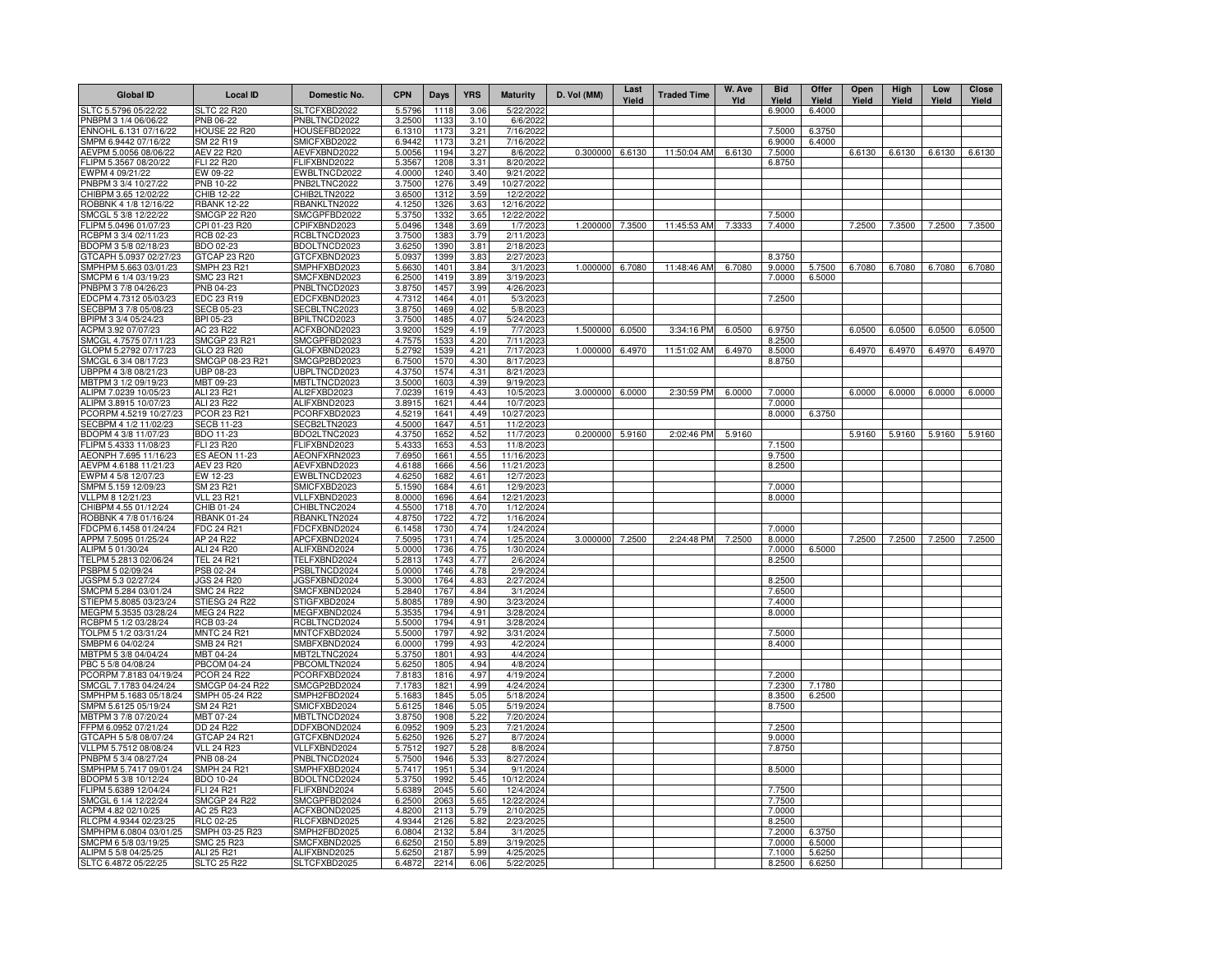| <b>Global ID</b>                               | <b>Local ID</b>                  | Domestic No.                        | <b>CPN</b>       | Days         | <b>YRS</b>   | <b>Maturity</b>         | D. Vol (MM)     | Last<br>Yield | <b>Traded Time</b> | W. Ave<br>Yld | <b>Bid</b><br>Yield | Offer<br>Yield | Open<br>Yield | High<br>Yield | Low<br>Yield | Close<br>Yield |
|------------------------------------------------|----------------------------------|-------------------------------------|------------------|--------------|--------------|-------------------------|-----------------|---------------|--------------------|---------------|---------------------|----------------|---------------|---------------|--------------|----------------|
| SLTC 5.5796 05/22/22                           | <b>SLTC 22 R20</b>               | SLTCFXBD2022                        | 5.5796           | 1118         | 3.06         | 5/22/202                |                 |               |                    |               | 6.9000              | 6.4000         |               |               |              |                |
| NBPM 3 1/4 06/06/22                            | PNB 06-22                        | PNBLTNCD2022                        | 3.2500           | 1133         | 3.10         | 6/6/2022                |                 |               |                    |               |                     |                |               |               |              |                |
| ENNOHL 6.131 07/16/22                          | <b>HOUSE 22 R20</b>              | HOUSEFBD2022                        | 6.1310           | 1173         | 3.21         | 7/16/2022               |                 |               |                    |               | 7.5000              | 6.3750         |               |               |              |                |
| SMPM 6.9442 07/16/22<br>AEVPM 5.0056 08/06/22  | SM 22 R19<br>AEV 22 R20          | SMICFXBD2022<br>AEVFXBND2022        | 6.9442<br>5.0056 | 1173<br>1194 | 3.21<br>3.27 | 7/16/2022<br>8/6/2022   | 0.300000        |               | 11:50:04 AM        | 6.6130        | 6.9000<br>7.5000    | 6.4000         |               |               |              |                |
| -LIPM 5.3567 08/20/22                          | FLI 22 R20                       | FLIFXBND2022                        | 5.3567           | 1208         | 3.31         | 8/20/2022               |                 | 6.6130        |                    |               | 6.8750              |                | 6.6130        | 6.6130        | 6.6130       | 6.6130         |
| EWPM 4 09/21/22                                | EW 09-22                         | EWBLTNCD2022                        | 4.0000           | 1240         | 3.40         | 9/21/2022               |                 |               |                    |               |                     |                |               |               |              |                |
| PNBPM 3 3/4 10/27/22                           | PNB 10-22                        | PNB2LTNC2022                        | 3.7500           | 1276         | 3.49         | 10/27/2022              |                 |               |                    |               |                     |                |               |               |              |                |
| CHIBPM 3.65 12/02/22                           | CHIB 12-22                       | CHIB2LTN2022                        | 3.6500           | 1312         | 3.59         | 12/2/2022               |                 |               |                    |               |                     |                |               |               |              |                |
| ROBBNK 4 1/8 12/16/22                          | <b>RBANK 12-22</b>               | RBANKLTN2022                        | 4.1250           | 1326         | 3.63         | 12/16/2022              |                 |               |                    |               |                     |                |               |               |              |                |
| SMCGL 5 3/8 12/22/22                           | <b>SMCGP 22 R20</b>              | SMCGPFBD2022                        | 5.3750           | 1332         | 3.65         | 12/22/2022              |                 |               |                    |               | 7.5000              |                |               |               |              |                |
| FLIPM 5.0496 01/07/23                          | CPI 01-23 R20                    | CPIFXBND2023                        | 5.0496           | 1348         | 3.69         | 1/7/2023                | 1.200000        | 7.3500        | 11:45:53 AM        | 7.3333        | 7.4000              |                | 7.2500        | 7.3500        | 7.2500       | 7.3500         |
| RCBPM 3 3/4 02/11/23<br>BDOPM 3 5/8 02/18/23   | RCB 02-23<br>BDO 02-23           | RCBLTNCD2023                        | 3.7500<br>3.6250 | 1383<br>1390 | 3.79<br>3.81 | 2/11/2023<br>2/18/2023  |                 |               |                    |               |                     |                |               |               |              |                |
| GTCAPH 5.0937 02/27/23                         | GTCAP 23 R20                     | BDOLTNCD2023<br>GTCFXBND2023        | 5.0937           | 1399         | 3.83         | 2/27/2023               |                 |               |                    |               | 8.3750              |                |               |               |              |                |
| SMPHPM 5.663 03/01/23                          | SMPH 23 R21                      | SMPHFXBD2023                        | 5.6630           | 1401         | 3.84         | 3/1/2023                | 1.000000        | 6.7080        | 11:48:46 AM        | 6.7080        | 9.0000              | 5.7500         | 6.7080        | 6.7080        | 6.7080       | 6.7080         |
| SMCPM 6 1/4 03/19/23                           | SMC 23 R21                       | SMCFXBND2023                        | 6.2500           | 1419         | 3.89         | 3/19/2023               |                 |               |                    |               | 7.0000              | 6.5000         |               |               |              |                |
| PNBPM 3 7/8 04/26/23                           | PNB 04-23                        | PNBLTNCD2023                        | 3.8750           | 1457         | 3.99         | 4/26/2023               |                 |               |                    |               |                     |                |               |               |              |                |
| EDCPM 4.7312 05/03/23                          | EDC 23 R19                       | EDCFXBND2023                        | 4.7312           | 1464         | 4.01         | 5/3/2023                |                 |               |                    |               | 7.2500              |                |               |               |              |                |
| SECBPM 3 7/8 05/08/23                          | <b>SECB 05-23</b>                | SECBLTNC2023                        | 3.8750           | 1469         | 4.02         | 5/8/2023                |                 |               |                    |               |                     |                |               |               |              |                |
| BPIPM 3 3/4 05/24/23                           | <b>BPI 05-23</b>                 | BPILTNCD2023                        | 3.7500           | 1485         | 4.07         | 5/24/2023               |                 |               |                    |               |                     |                |               |               |              |                |
| ACPM 3.92 07/07/23<br>SMCGL 4.7575 07/11/23    | AC 23 R22<br><b>SMCGP 23 R21</b> | ACFXBOND2023<br>SMCGPFBD2023        | 3.9200<br>4.7575 | 1529<br>1533 | 4.19<br>4.20 | 7/7/2023<br>7/11/2023   | 1.500000        | 6.0500        | 3:34:16 PM         | 6.0500        | 6.9750<br>8.2500    |                | 6.0500        | 6.0500        | 6.0500       | 6.0500         |
| GLOPM 5.2792 07/17/23                          | GLO 23 R20                       | GLOFXBND2023                        | 5.2792           | 1539         | 4.21         | 7/17/2023               | 1.000000        | 6.4970        | 11:51:02 AM        | 6.4970        | 8.5000              |                | 6.4970        | 6.4970        | 6.4970       | 6.4970         |
| SMCGL 6 3/4 08/17/23                           | SMCGP 08-23 R21                  | SMCGP2BD2023                        | 6.7500           | 1570         | 4.30         | 8/17/2023               |                 |               |                    |               | 8.8750              |                |               |               |              |                |
| UBPPM 4 3/8 08/21/23                           | UBP 08-23                        | UBPLTNCD2023                        | 4.3750           | 1574         | 4.31         | 8/21/2023               |                 |               |                    |               |                     |                |               |               |              |                |
| MBTPM 3 1/2 09/19/23                           | MBT 09-23                        | MBTLTNCD2023                        | 3.5000           | 1603         | 4.39         | 9/19/2023               |                 |               |                    |               |                     |                |               |               |              |                |
| ALIPM 7.0239 10/05/23                          | ALI 23 R21                       | ALI2FXBD2023                        | 7.0239           | 1619         | 4.43         | 10/5/2023               | 3.000000 6.0000 |               | 2:30:59 PM         | 6.0000        | 7.0000              |                | 6.0000        | 6.0000        | 6.0000       | 6.0000         |
| ALIPM 3.8915 10/07/23                          | ALI 23 R22                       | ALIFXBND2023                        | 3.8915           | 1621         | 4.44         | 10/7/2023               |                 |               |                    |               | 7.0000              |                |               |               |              |                |
| PCORPM 4.5219 10/27/23                         | PCOR 23 R21                      | PCORFXBD2023                        | 4.5219           | 1641         | 4.49         | 10/27/2023              |                 |               |                    |               | 8.0000              | 6.3750         |               |               |              |                |
| SECBPM 4 1/2 11/02/23                          | <b>SECB 11-23</b>                | SECB2LTN2023<br>BDO2LTNC2023        | 4.5000           | 1647         | 4.51         | 11/2/2023               |                 |               |                    |               |                     |                |               |               |              |                |
| BDOPM 4 3/8 11/07/23<br>FLIPM 5.4333 11/08/23  | BDO 11-23<br>FLI 23 R20          | FLIFXBND2023                        | 4.3750<br>5.4333 | 1652<br>1653 | 4.52<br>4.53 | 11/7/2023<br>11/8/2023  | 0.200000 5.9160 |               | 2:02:46 PM         | 5.9160        | 7.1500              |                | 5.9160        | 5.9160        | 5.9160       | 5.9160         |
| AEONPH 7.695 11/16/23                          | <b>ES AEON 11-23</b>             | AEONFXRN2023                        | 7.6950           | 1661         | 4.55         | 11/16/2023              |                 |               |                    |               | 9.7500              |                |               |               |              |                |
| AEVPM 4.6188 11/21/23                          | AEV 23 R20                       | AEVFXBND2023                        | 4.6188           | 1666         | 4.56         | 11/21/2023              |                 |               |                    |               | 8.2500              |                |               |               |              |                |
| EWPM 4 5/8 12/07/23                            | EW 12-23                         | EWBLTNCD2023                        | 4.6250           | 1682         | 4.61         | 12/7/2023               |                 |               |                    |               |                     |                |               |               |              |                |
| SMPM 5.159 12/09/23                            | SM 23 R21                        | SMICFXBD2023                        | 5.1590           | 1684         | 4.61         | 12/9/2023               |                 |               |                    |               | 7.0000              |                |               |               |              |                |
| VLLPM 8 12/21/23                               | <b>VLL 23 R21</b>                | VLLFXBND2023                        | 8.0000           | 1696         | 4.64         | 12/21/2023              |                 |               |                    |               | 8.0000              |                |               |               |              |                |
| CHIBPM 4.55 01/12/24                           | CHIB 01-24                       | CHIBLTNC2024                        | 4.5500           | 1718         | 4.70         | 1/12/2024               |                 |               |                    |               |                     |                |               |               |              |                |
| ROBBNK 4 7/8 01/16/24                          | <b>RBANK 01-24</b>               | RBANKLTN2024                        | 4.8750           | 1722         | 4.72         | 1/16/2024               |                 |               |                    |               |                     |                |               |               |              |                |
| DCPM 6.1458 01/24/24<br>APPM 7.5095 01/25/24   | FDC 24 R21<br>AP 24 R22          | FDCFXBND2024<br>APCFXBND2024        | 6.1458<br>7.5095 | 1730<br>1731 | 4.74<br>4.74 | 1/24/2024<br>1/25/2024  | 3.000000 7.2500 |               | 2:24:48 PM         | 7.2500        | 7.0000<br>8.0000    |                | 7.2500        | 7.2500        | 7.2500       | 7.2500         |
| ALIPM 5 01/30/24                               | ALI 24 R20                       | ALIFXBND2024                        | 5.0000           | 1736         | 4.75         | 1/30/2024               |                 |               |                    |               | 7.0000              | 6.5000         |               |               |              |                |
| TELPM 5.2813 02/06/24                          | <b>TEL 24 R21</b>                | TELFXBND2024                        | 5.2813           | 1743         | 4.77         | 2/6/2024                |                 |               |                    |               | 8.2500              |                |               |               |              |                |
| PSBPM 5 02/09/24                               | PSB 02-24                        | PSBLTNCD2024                        | 5.0000           | 1746         | 4.78         | 2/9/2024                |                 |               |                    |               |                     |                |               |               |              |                |
| JGSPM 5.3 02/27/24                             | <b>JGS 24 R20</b>                | JGSFXBND2024                        | 5.3000           | 1764         | 4.83         | 2/27/2024               |                 |               |                    |               | 8.2500              |                |               |               |              |                |
| SMCPM 5.284 03/01/24                           | <b>SMC 24 R22</b>                | SMCFXBND2024                        | 5.2840           | 1767         | 4.84         | 3/1/2024                |                 |               |                    |               | 7.6500              |                |               |               |              |                |
| STIEPM 5.8085 03/23/24                         | STIESG 24 R22                    | STIGFXBD2024                        | 5.8085           | 1789         | 4.90         | 3/23/2024               |                 |               |                    |               | 7.4000              |                |               |               |              |                |
| MEGPM 5.3535 03/28/24                          | <b>MEG 24 R22</b>                | MEGFXBND2024                        | 5.3535<br>5.5000 | 1794         | 4.91         | 3/28/2024               |                 |               |                    |               | 8.0000              |                |               |               |              |                |
| RCBPM 5 1/2 03/28/24<br>TOLPM 5 1/2 03/31/24   | RCB 03-24<br><b>MNTC 24 R21</b>  | RCBLTNCD2024<br><b>MNTCFXBD2024</b> | 5.5000           | 1794<br>1797 | 4.91<br>4.92 | 3/28/2024<br>3/31/2024  |                 |               |                    |               | 7.5000              |                |               |               |              |                |
| SMBPM 6 04/02/24                               | SMB 24 R21                       | SMBFXBND2024                        | 6.0000           | 1799         | 4.93         | 4/2/2024                |                 |               |                    |               | 8.4000              |                |               |               |              |                |
| MBTPM 5 3/8 04/04/24                           | MBT 04-24                        | MBT2LTNC2024                        | 5.3750           | 1801         | 4.93         | 4/4/2024                |                 |               |                    |               |                     |                |               |               |              |                |
| BC 5 5/8 04/08/24                              | <b>PBCOM 04-24</b>               | PBCOMLTN2024                        | 5.6250           | 1805         | 4.94         | 4/8/2024                |                 |               |                    |               |                     |                |               |               |              |                |
| PCORPM 7.8183 04/19/24                         | <b>PCOR 24 R22</b>               | PCORFXBD2024                        | 7.8183           | 1816         | 4.97         | 4/19/2024               |                 |               |                    |               | 7.2000              |                |               |               |              |                |
| SMCGL 7.1783 04/24/24                          | SMCGP 04-24 R22                  | SMCGP2BD2024                        | 7.1783           | $182 -$      | 4.99         | 4/24/2024               |                 |               |                    |               | 7.2300              | 7.1780         |               |               |              |                |
| SMPHPM 5.1683 05/18/24<br>SMPM 5.6125 05/19/24 | SMPH 05-24 R22<br>SM 24 R21      | SMPH2FBD2024<br>SMICFXBD2024        | 5.168<br>5.6125  | 1845<br>1846 | 5.05<br>5.05 | 5/18/2024<br>5/19/2024  |                 |               |                    |               | 8.3500<br>8.7500    | 6.2500         |               |               |              |                |
| ABTPM 3 7/8 07/20/24                           | MBT 07-24                        | MBTLTNCD2024                        | 3.8750           | 1908         | 5.22         | 7/20/2024               |                 |               |                    |               |                     |                |               |               |              |                |
| FPM 6.0952 07/21/24                            | DD 24 R22                        | DDFXBOND2024                        | 6.0952           | 1909         | 5.23         | 7/21/2024               |                 |               |                    |               | 7.2500              |                |               |               |              |                |
| GTCAPH 5 5/8 08/07/24                          | GTCAP 24 R21                     | GTCFXBND2024                        | 5.6250           | 1926         | 5.27         | 8/7/2024                |                 |               |                    |               | 9.0000              |                |               |               |              |                |
| VLLPM 5.7512 08/08/24                          | <b>VLL 24 R23</b>                | VLLFXBND2024                        | 5.7512           | 1927         | 5.28         | 8/8/2024                |                 |               |                    |               | 7.8750              |                |               |               |              |                |
| NBPM 5 3/4 08/27/24                            | PNB 08-24                        | PNBLTNCD2024                        | 5.7500           | 1946         | 5.33         | 8/27/2024               |                 |               |                    |               |                     |                |               |               |              |                |
| SMPHPM 5.7417 09/01/24                         | <b>SMPH 24 R21</b>               | SMPHFXBD2024                        | 5.7417           | 195          | 5.34         | 9/1/2024                |                 |               |                    |               | 8.5000              |                |               |               |              |                |
| BDOPM 5 3/8 10/12/24                           | <b>BDO 10-24</b>                 | BDOLTNCD2024                        | 5.3750           | 1992         | 5.45         | 10/12/2024              |                 |               |                    |               |                     |                |               |               |              |                |
| LIPM 5.6389 12/04/24                           | FLI 24 R21                       | FLIFXBND2024                        | 5.6389           | 2045         | 5.60         | 12/4/2024               |                 |               |                    |               | 7.7500              |                |               |               |              |                |
| SMCGL 6 1/4 12/22/24<br>ACPM 4.82 02/10/25     | <b>SMCGP 24 R22</b><br>AC 25 R23 | SMCGPFBD2024<br>ACFXBOND2025        | 6.2500<br>4.8200 | 206<br>2113  | 5.65<br>5.79 | 12/22/2024<br>2/10/2025 |                 |               |                    |               | 7.7500<br>7.0000    |                |               |               |              |                |
| RLCPM 4.9344 02/23/25                          | RLC 02-25                        | RLCFXBND2025                        | 4.9344           | 2126         | 5.82         | 2/23/2025               |                 |               |                    |               | 8.2500              |                |               |               |              |                |
| SMPHPM 6.0804 03/01/25                         | SMPH 03-25 R23                   | SMPH2FBD2025                        | 6.0804           | 2132         | 5.84         | 3/1/2025                |                 |               |                    |               | 7.2000              | 6.3750         |               |               |              |                |
| SMCPM 6 5/8 03/19/25                           | <b>SMC 25 R23</b>                | SMCFXBND2025                        | 6.6250           | 215(         | 5.89         | 3/19/2025               |                 |               |                    |               | 7.0000              | 6.5000         |               |               |              |                |
| ALIPM 5 5/8 04/25/25                           | ALI 25 R21                       | ALIFXBND2025                        | 5.6250           | 2187         | 5.99         | 4/25/2025               |                 |               |                    |               | 7.1000              | 5.6250         |               |               |              |                |
| SLTC 6.4872 05/22/25                           | <b>SLTC 25 R22</b>               | SLTCFXBD2025                        | 6.4872           | 2214         | 6.06         | 5/22/2025               |                 |               |                    |               | 8.2500              | 6.6250         |               |               |              |                |